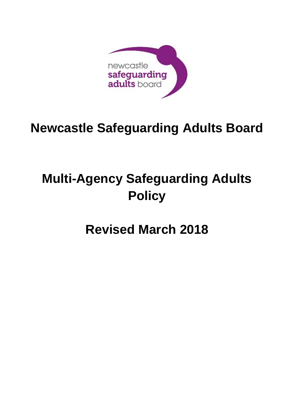

# **Newcastle Safeguarding Adults Board**

# **Multi-Agency Safeguarding Adults Policy**

# **Revised March 2018**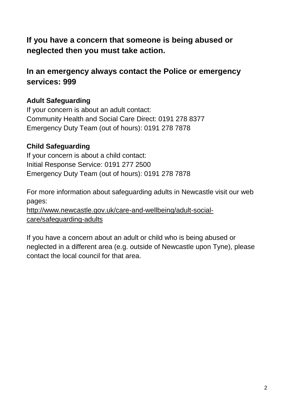# **If you have a concern that someone is being abused or neglected then you must take action.**

# **In an emergency always contact the Police or emergency services: 999**

# **Adult Safeguarding**

If your concern is about an adult contact: Community Health and Social Care Direct: 0191 278 8377 Emergency Duty Team (out of hours): 0191 278 7878

# **Child Safeguarding**

If your concern is about a child contact: Initial Response Service: 0191 277 2500 Emergency Duty Team (out of hours): 0191 278 7878

contact the local council for that area.

For more information about safeguarding adults in Newcastle visit our web pages: [http://www.newcastle.gov.uk/care-and-wellbeing/adult-social](http://www.newcastle.gov.uk/care-and-wellbeing/adult-social-care/safeguarding-adults)[care/safeguarding-adults](http://www.newcastle.gov.uk/care-and-wellbeing/adult-social-care/safeguarding-adults)

If you have a concern about an adult or child who is being abused or neglected in a different area (e.g. outside of Newcastle upon Tyne), please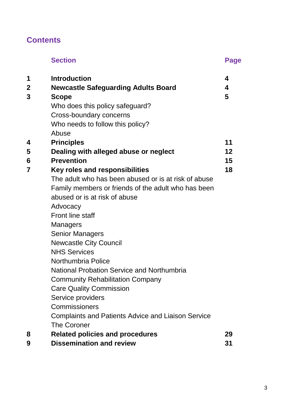# **Contents**

|   | <b>Section</b>                                            | <b>Page</b> |
|---|-----------------------------------------------------------|-------------|
| 1 | <b>Introduction</b>                                       | 4           |
| 2 | <b>Newcastle Safeguarding Adults Board</b>                | 4           |
| 3 | <b>Scope</b>                                              | 5           |
|   | Who does this policy safeguard?                           |             |
|   | Cross-boundary concerns                                   |             |
|   | Who needs to follow this policy?                          |             |
|   | Abuse                                                     |             |
| 4 | <b>Principles</b>                                         | 11          |
| 5 | Dealing with alleged abuse or neglect                     | 12          |
| 6 | <b>Prevention</b>                                         | 15          |
| 7 | Key roles and responsibilities                            | 18          |
|   | The adult who has been abused or is at risk of abuse      |             |
|   | Family members or friends of the adult who has been       |             |
|   | abused or is at risk of abuse                             |             |
|   | Advocacy                                                  |             |
|   | <b>Front line staff</b>                                   |             |
|   | <b>Managers</b>                                           |             |
|   | <b>Senior Managers</b>                                    |             |
|   | <b>Newcastle City Council</b>                             |             |
|   | <b>NHS Services</b>                                       |             |
|   | Northumbria Police                                        |             |
|   | <b>National Probation Service and Northumbria</b>         |             |
|   | <b>Community Rehabilitation Company</b>                   |             |
|   | <b>Care Quality Commission</b>                            |             |
|   | Service providers                                         |             |
|   | Commissioners                                             |             |
|   | <b>Complaints and Patients Advice and Liaison Service</b> |             |
|   | <b>The Coroner</b>                                        |             |
| 8 | <b>Related policies and procedures</b>                    | 29          |
| 9 | <b>Dissemination and review</b>                           | 31          |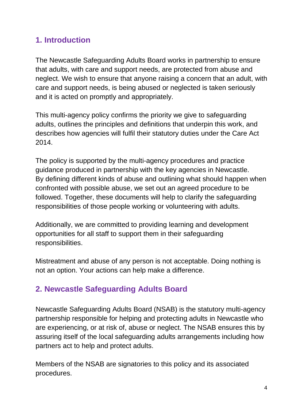# **1. Introduction**

The Newcastle Safeguarding Adults Board works in partnership to ensure that adults, with care and support needs, are protected from abuse and neglect. We wish to ensure that anyone raising a concern that an adult, with care and support needs, is being abused or neglected is taken seriously and it is acted on promptly and appropriately.

This multi-agency policy confirms the priority we give to safeguarding adults, outlines the principles and definitions that underpin this work, and describes how agencies will fulfil their statutory duties under the Care Act 2014.

The policy is supported by the multi-agency procedures and practice guidance produced in partnership with the key agencies in Newcastle. By defining different kinds of abuse and outlining what should happen when confronted with possible abuse, we set out an agreed procedure to be followed. Together, these documents will help to clarify the safeguarding responsibilities of those people working or volunteering with adults.

Additionally, we are committed to providing learning and development opportunities for all staff to support them in their safeguarding responsibilities.

Mistreatment and abuse of any person is not acceptable. Doing nothing is not an option. Your actions can help make a difference.

# **2. Newcastle Safeguarding Adults Board**

Newcastle Safeguarding Adults Board (NSAB) is the statutory multi-agency partnership responsible for helping and protecting adults in Newcastle who are experiencing, or at risk of, abuse or neglect. The NSAB ensures this by assuring itself of the local safeguarding adults arrangements including how partners act to help and protect adults.

Members of the NSAB are signatories to this policy and its associated procedures.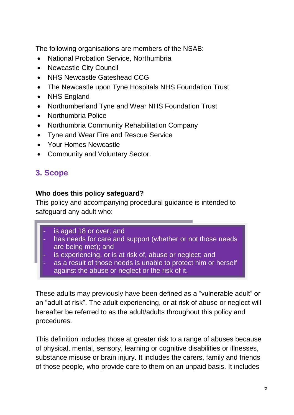The following organisations are members of the NSAB:

- National Probation Service, Northumbria
- Newcastle City Council
- NHS Newcastle Gateshead CCG
- The Newcastle upon Tyne Hospitals NHS Foundation Trust
- NHS England
- Northumberland Tyne and Wear NHS Foundation Trust
- Northumbria Police
- Northumbria Community Rehabilitation Company
- Tyne and Wear Fire and Rescue Service
- Your Homes Newcastle
- Community and Voluntary Sector.

# **3. Scope**

#### **Who does this policy safeguard?**

This policy and accompanying procedural guidance is intended to safeguard any adult who:

- is aged 18 or over; and
- has needs for care and support (whether or not those needs are being met); and
- is experiencing, or is at risk of, abuse or neglect; and
- as a result of those needs is unable to protect him or herself against the abuse or neglect or the risk of it.

These adults may previously have been defined as a "vulnerable adult" or an "adult at risk". The adult experiencing, or at risk of abuse or neglect will hereafter be referred to as the adult/adults throughout this policy and procedures.

This definition includes those at greater risk to a range of abuses because of physical, mental, sensory, learning or cognitive disabilities or illnesses, substance misuse or brain injury. It includes the carers, family and friends of those people, who provide care to them on an unpaid basis. It includes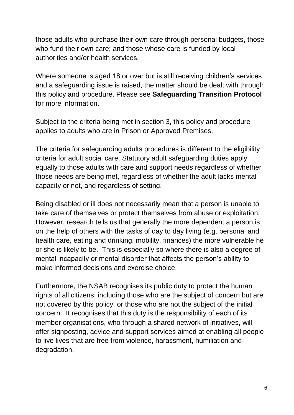those adults who purchase their own care through personal budgets, those who fund their own care; and those whose care is funded by local authorities and/or health services.

Where someone is aged 18 or over but is still receiving children's services and a safeguarding issue is raised, the matter should be dealt with through this policy and procedure. Please see **Safeguarding Transition Protocol** for more information.

Subject to the criteria being met in section 3, this policy and procedure applies to adults who are in Prison or Approved Premises.

The criteria for safeguarding adults procedures is different to the eligibility criteria for adult social care. Statutory adult safeguarding duties apply equally to those adults with care and support needs regardless of whether those needs are being met, regardless of whether the adult lacks mental capacity or not, and regardless of setting.

Being disabled or ill does not necessarily mean that a person is unable to take care of themselves or protect themselves from abuse or exploitation. However, research tells us that generally the more dependent a person is on the help of others with the tasks of day to day living (e.g. personal and health care, eating and drinking, mobility, finances) the more vulnerable he or she is likely to be. This is especially so where there is also a degree of mental incapacity or mental disorder that affects the person's ability to make informed decisions and exercise choice.

Furthermore, the NSAB recognises its public duty to protect the human rights of all citizens, including those who are the subject of concern but are not covered by this policy, or those who are not the subject of the initial concern. It recognises that this duty is the responsibility of each of its member organisations, who through a shared network of initiatives, will offer signposting, advice and support services aimed at enabling all people to live lives that are free from violence, harassment, humiliation and degradation.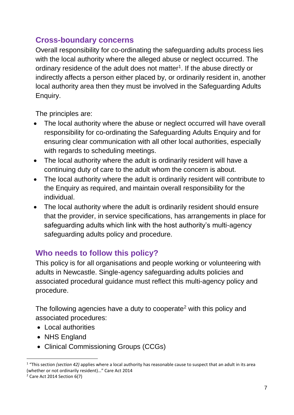# **Cross-boundary concerns**

Overall responsibility for co-ordinating the safeguarding adults process lies with the local authority where the alleged abuse or neglect occurred. The ordinary residence of the adult does not matter<sup>1</sup>. If the abuse directly or indirectly affects a person either placed by, or ordinarily resident in, another local authority area then they must be involved in the Safeguarding Adults Enquiry.

The principles are:

- The local authority where the abuse or neglect occurred will have overall responsibility for co-ordinating the Safeguarding Adults Enquiry and for ensuring clear communication with all other local authorities, especially with regards to scheduling meetings.
- The local authority where the adult is ordinarily resident will have a continuing duty of care to the adult whom the concern is about.
- The local authority where the adult is ordinarily resident will contribute to the Enquiry as required, and maintain overall responsibility for the individual.
- The local authority where the adult is ordinarily resident should ensure that the provider, in service specifications, has arrangements in place for safeguarding adults which link with the host authority's multi-agency safeguarding adults policy and procedure.

# **Who needs to follow this policy?**

This policy is for all organisations and people working or volunteering with adults in Newcastle. Single-agency safeguarding adults policies and associated procedural guidance must reflect this multi-agency policy and procedure.

The following agencies have a duty to cooperate<sup>2</sup> with this policy and associated procedures:

- Local authorities
- NHS England
- Clinical Commissioning Groups (CCGs)

**.** 

<sup>&</sup>lt;sup>1</sup> "This section *(section 42)* applies where a local authority has reasonable cause to suspect that an adult in its area (whether or not ordinarily resident)…" Care Act 2014

<sup>2</sup> Care Act 2014 Section 6(7)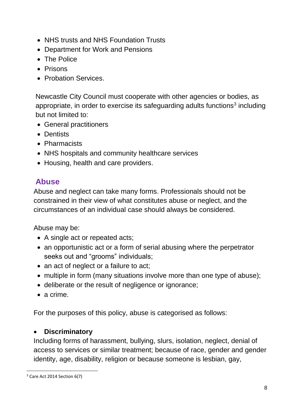- NHS trusts and NHS Foundation Trusts
- Department for Work and Pensions
- The Police
- Prisons
- Probation Services.

Newcastle City Council must cooperate with other agencies or bodies, as appropriate, in order to exercise its safeguarding adults functions<sup>3</sup> including but not limited to:

- General practitioners
- Dentists
- **Pharmacists**
- NHS hospitals and community healthcare services
- Housing, health and care providers.

# **Abuse**

Abuse and neglect can take many forms. Professionals should not be constrained in their view of what constitutes abuse or neglect, and the circumstances of an individual case should always be considered.

Abuse may be:

- A single act or repeated acts;
- an opportunistic act or a form of serial abusing where the perpetrator seeks out and "grooms" individuals;
- an act of neglect or a failure to act;
- multiple in form (many situations involve more than one type of abuse);
- deliberate or the result of negligence or ignorance;
- a crime.

For the purposes of this policy, abuse is categorised as follows:

# **Discriminatory**

Including forms of harassment, bullying, slurs, isolation, neglect, denial of access to services or similar treatment; because of race, gender and gender identity, age, disability, religion or because someone is lesbian, gay,

**.** 

<sup>3</sup> Care Act 2014 Section 6(7)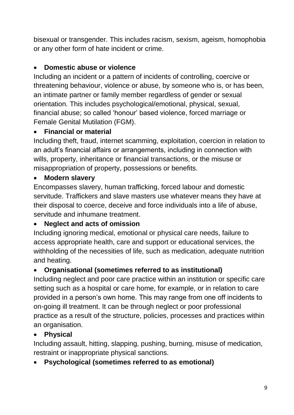bisexual or transgender. This includes racism, sexism, ageism, homophobia or any other form of hate incident or crime.

# **Domestic abuse or violence**

Including an incident or a pattern of incidents of controlling, coercive or threatening behaviour, violence or abuse, by someone who is, or has been, an intimate partner or family member regardless of gender or sexual orientation. This includes psychological/emotional, physical, sexual, financial abuse; so called 'honour' based violence, forced marriage or Female Genital Mutilation (FGM).

# **Financial or material**

Including theft, fraud, internet scamming, exploitation, coercion in relation to an adult's financial affairs or arrangements, including in connection with wills, property, inheritance or financial transactions, or the misuse or misappropriation of property, possessions or benefits.

# **Modern slavery**

Encompasses slavery, human trafficking, forced labour and domestic servitude. Traffickers and slave masters use whatever means they have at their disposal to coerce, deceive and force individuals into a life of abuse, servitude and inhumane treatment.

# **Neglect and acts of omission**

Including ignoring medical, emotional or physical care needs, failure to access appropriate health, care and support or educational services, the withholding of the necessities of life, such as medication, adequate nutrition and heating.

# **Organisational (sometimes referred to as institutional)**

Including neglect and poor care practice within an institution or specific care setting such as a hospital or care home, for example, or in relation to care provided in a person's own home. This may range from one off incidents to on-going ill treatment. It can be through neglect or poor professional practice as a result of the structure, policies, processes and practices within an organisation.

# **Physical**

Including assault, hitting, slapping, pushing, burning, misuse of medication, restraint or inappropriate physical sanctions.

# **Psychological (sometimes referred to as emotional)**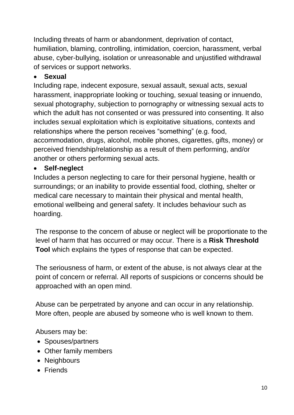Including threats of harm or abandonment, deprivation of contact, humiliation, blaming, controlling, intimidation, coercion, harassment, verbal abuse, cyber-bullying, isolation or unreasonable and unjustified withdrawal of services or support networks.

# **Sexual**

Including rape, indecent exposure, sexual assault, sexual acts, sexual harassment, inappropriate looking or touching, sexual teasing or innuendo, sexual photography, subjection to pornography or witnessing sexual acts to which the adult has not consented or was pressured into consenting. It also includes sexual exploitation which is exploitative situations, contexts and relationships where the person receives "something" (e.g. food, accommodation, drugs, alcohol, mobile phones, cigarettes, gifts, money) or perceived friendship/relationship as a result of them performing, and/or another or others performing sexual acts.

# **Self-neglect**

Includes a person neglecting to care for their personal hygiene, health or surroundings; or an inability to provide essential food, clothing, shelter or medical care necessary to maintain their physical and mental health, emotional wellbeing and general safety. It includes behaviour such as hoarding.

The response to the concern of abuse or neglect will be proportionate to the level of harm that has occurred or may occur. There is a **Risk Threshold Tool** which explains the types of response that can be expected.

The seriousness of harm, or extent of the abuse, is not always clear at the point of concern or referral. All reports of suspicions or concerns should be approached with an open mind.

Abuse can be perpetrated by anyone and can occur in any relationship. More often, people are abused by someone who is well known to them.

Abusers may be:

- Spouses/partners
- Other family members
- Neighbours
- Friends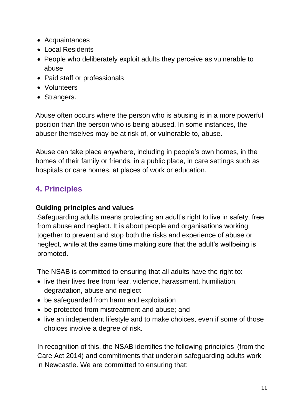- Acquaintances
- Local Residents
- People who deliberately exploit adults they perceive as vulnerable to abuse
- Paid staff or professionals
- Volunteers
- Strangers.

Abuse often occurs where the person who is abusing is in a more powerful position than the person who is being abused. In some instances, the abuser themselves may be at risk of, or vulnerable to, abuse.

Abuse can take place anywhere, including in people's own homes, in the homes of their family or friends, in a public place, in care settings such as hospitals or care homes, at places of work or education.

# **4. Principles**

# **Guiding principles and values**

Safeguarding adults means protecting an adult's right to live in safety, free from abuse and neglect. It is about people and organisations working together to prevent and stop both the risks and experience of abuse or neglect, while at the same time making sure that the adult's wellbeing is promoted.

The NSAB is committed to ensuring that all adults have the right to:

- live their lives free from fear, violence, harassment, humiliation, degradation, abuse and neglect
- be safeguarded from harm and exploitation
- be protected from mistreatment and abuse; and
- live an independent lifestyle and to make choices, even if some of those choices involve a degree of risk.

In recognition of this, the NSAB identifies the following principles (from the Care Act 2014) and commitments that underpin safeguarding adults work in Newcastle. We are committed to ensuring that: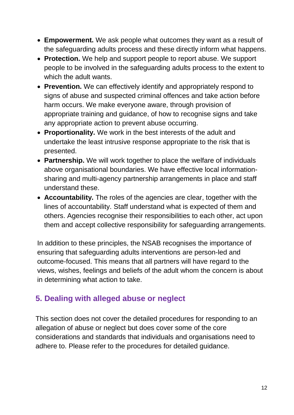- **Empowerment.** We ask people what outcomes they want as a result of the safeguarding adults process and these directly inform what happens.
- **Protection.** We help and support people to report abuse. We support people to be involved in the safeguarding adults process to the extent to which the adult wants.
- **Prevention.** We can effectively identify and appropriately respond to signs of abuse and suspected criminal offences and take action before harm occurs. We make everyone aware, through provision of appropriate training and guidance, of how to recognise signs and take any appropriate action to prevent abuse occurring.
- **Proportionality.** We work in the best interests of the adult and undertake the least intrusive response appropriate to the risk that is presented.
- **Partnership.** We will work together to place the welfare of individuals above organisational boundaries. We have effective local informationsharing and multi-agency partnership arrangements in place and staff understand these.
- **Accountability.** The roles of the agencies are clear, together with the lines of accountability. Staff understand what is expected of them and others. Agencies recognise their responsibilities to each other, act upon them and accept collective responsibility for safeguarding arrangements.

In addition to these principles, the NSAB recognises the importance of ensuring that safeguarding adults interventions are person-led and outcome-focused. This means that all partners will have regard to the views, wishes, feelings and beliefs of the adult whom the concern is about in determining what action to take.

# **5. Dealing with alleged abuse or neglect**

This section does not cover the detailed procedures for responding to an allegation of abuse or neglect but does cover some of the core considerations and standards that individuals and organisations need to adhere to. Please refer to the procedures for detailed guidance.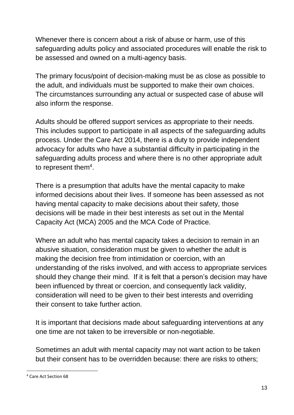Whenever there is concern about a risk of abuse or harm, use of this safeguarding adults policy and associated procedures will enable the risk to be assessed and owned on a multi-agency basis.

The primary focus/point of decision-making must be as close as possible to the adult, and individuals must be supported to make their own choices. The circumstances surrounding any actual or suspected case of abuse will also inform the response.

Adults should be offered support services as appropriate to their needs. This includes support to participate in all aspects of the safeguarding adults process. Under the Care Act 2014, there is a duty to provide independent advocacy for adults who have a substantial difficulty in participating in the safeguarding adults process and where there is no other appropriate adult to represent them<sup>4</sup>.

There is a presumption that adults have the mental capacity to make informed decisions about their lives. If someone has been assessed as not having mental capacity to make decisions about their safety, those decisions will be made in their best interests as set out in the Mental Capacity Act (MCA) 2005 and the MCA Code of Practice.

Where an adult who has mental capacity takes a decision to remain in an abusive situation, consideration must be given to whether the adult is making the decision free from intimidation or coercion, with an understanding of the risks involved, and with access to appropriate services should they change their mind. If it is felt that a person's decision may have been influenced by threat or coercion, and consequently lack validity, consideration will need to be given to their best interests and overriding their consent to take further action.

It is important that decisions made about safeguarding interventions at any one time are not taken to be irreversible or non-negotiable.

Sometimes an adult with mental capacity may not want action to be taken but their consent has to be overridden because: there are risks to others;

**.** 

<sup>4</sup> Care Act Section 68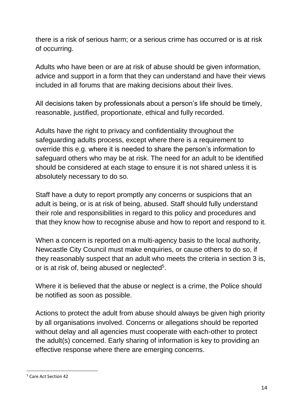there is a risk of serious harm; or a serious crime has occurred or is at risk of occurring.

Adults who have been or are at risk of abuse should be given information, advice and support in a form that they can understand and have their views included in all forums that are making decisions about their lives.

All decisions taken by professionals about a person's life should be timely, reasonable, justified, proportionate, ethical and fully recorded.

Adults have the right to privacy and confidentiality throughout the safeguarding adults process, except where there is a requirement to override this e.g. where it is needed to share the person's information to safeguard others who may be at risk. The need for an adult to be identified should be considered at each stage to ensure it is not shared unless it is absolutely necessary to do so.

Staff have a duty to report promptly any concerns or suspicions that an adult is being, or is at risk of being, abused. Staff should fully understand their role and responsibilities in regard to this policy and procedures and that they know how to recognise abuse and how to report and respond to it.

When a concern is reported on a multi-agency basis to the local authority, Newcastle City Council must make enquiries, or cause others to do so, if they reasonably suspect that an adult who meets the criteria in section 3 is, or is at risk of, being abused or neglected<sup>5</sup>.

Where it is believed that the abuse or neglect is a crime, the Police should be notified as soon as possible.

Actions to protect the adult from abuse should always be given high priority by all organisations involved. Concerns or allegations should be reported without delay and all agencies must cooperate with each-other to protect the adult(s) concerned. Early sharing of information is key to providing an effective response where there are emerging concerns.

**<sup>.</sup>** <sup>5</sup> Care Act Section 42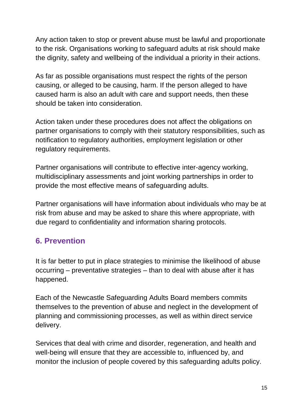Any action taken to stop or prevent abuse must be lawful and proportionate to the risk. Organisations working to safeguard adults at risk should make the dignity, safety and wellbeing of the individual a priority in their actions.

As far as possible organisations must respect the rights of the person causing, or alleged to be causing, harm. If the person alleged to have caused harm is also an adult with care and support needs, then these should be taken into consideration.

Action taken under these procedures does not affect the obligations on partner organisations to comply with their statutory responsibilities, such as notification to regulatory authorities, employment legislation or other regulatory requirements.

Partner organisations will contribute to effective inter-agency working, multidisciplinary assessments and joint working partnerships in order to provide the most effective means of safeguarding adults.

Partner organisations will have information about individuals who may be at risk from abuse and may be asked to share this where appropriate, with due regard to confidentiality and information sharing protocols.

# **6. Prevention**

It is far better to put in place strategies to minimise the likelihood of abuse occurring – preventative strategies – than to deal with abuse after it has happened.

Each of the Newcastle Safeguarding Adults Board members commits themselves to the prevention of abuse and neglect in the development of planning and commissioning processes, as well as within direct service delivery.

Services that deal with crime and disorder, regeneration, and health and well-being will ensure that they are accessible to, influenced by, and monitor the inclusion of people covered by this safeguarding adults policy.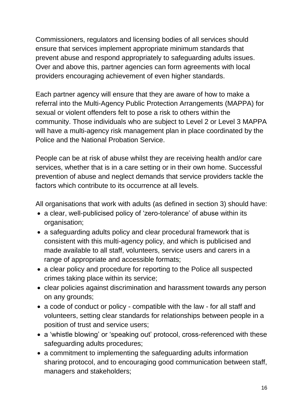Commissioners, regulators and licensing bodies of all services should ensure that services implement appropriate minimum standards that prevent abuse and respond appropriately to safeguarding adults issues. Over and above this, partner agencies can form agreements with local providers encouraging achievement of even higher standards.

Each partner agency will ensure that they are aware of how to make a referral into the Multi-Agency Public Protection Arrangements (MAPPA) for sexual or violent offenders felt to pose a risk to others within the community. Those individuals who are subject to Level 2 or Level 3 MAPPA will have a multi-agency risk management plan in place coordinated by the Police and the National Probation Service.

People can be at risk of abuse whilst they are receiving health and/or care services, whether that is in a care setting or in their own home. Successful prevention of abuse and neglect demands that service providers tackle the factors which contribute to its occurrence at all levels.

All organisations that work with adults (as defined in section 3) should have:

- a clear, well-publicised policy of 'zero-tolerance' of abuse within its organisation;
- a safeguarding adults policy and clear procedural framework that is consistent with this multi-agency policy, and which is publicised and made available to all staff, volunteers, service users and carers in a range of appropriate and accessible formats;
- a clear policy and procedure for reporting to the Police all suspected crimes taking place within its service;
- clear policies against discrimination and harassment towards any person on any grounds;
- a code of conduct or policy compatible with the law for all staff and volunteers, setting clear standards for relationships between people in a position of trust and service users;
- a 'whistle blowing' or 'speaking out' protocol, cross-referenced with these safeguarding adults procedures;
- a commitment to implementing the safeguarding adults information sharing protocol, and to encouraging good communication between staff, managers and stakeholders;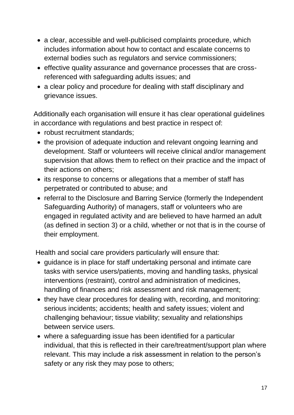- a clear, accessible and well-publicised complaints procedure, which includes information about how to contact and escalate concerns to external bodies such as regulators and service commissioners;
- effective quality assurance and governance processes that are crossreferenced with safeguarding adults issues; and
- a clear policy and procedure for dealing with staff disciplinary and grievance issues.

Additionally each organisation will ensure it has clear operational guidelines in accordance with regulations and best practice in respect of:

- robust recruitment standards:
- the provision of adequate induction and relevant ongoing learning and development. Staff or volunteers will receive clinical and/or management supervision that allows them to reflect on their practice and the impact of their actions on others;
- its response to concerns or allegations that a member of staff has perpetrated or contributed to abuse; and
- referral to the Disclosure and Barring Service (formerly the Independent Safeguarding Authority) of managers, staff or volunteers who are engaged in regulated activity and are believed to have harmed an adult (as defined in section 3) or a child, whether or not that is in the course of their employment.

Health and social care providers particularly will ensure that:

- quidance is in place for staff undertaking personal and intimate care tasks with service users/patients, moving and handling tasks, physical interventions (restraint), control and administration of medicines, handling of finances and risk assessment and risk management;
- they have clear procedures for dealing with, recording, and monitoring: serious incidents; accidents; health and safety issues; violent and challenging behaviour; tissue viability; sexuality and relationships between service users.
- where a safeguarding issue has been identified for a particular individual, that this is reflected in their care/treatment/support plan where relevant. This may include a risk assessment in relation to the person's safety or any risk they may pose to others;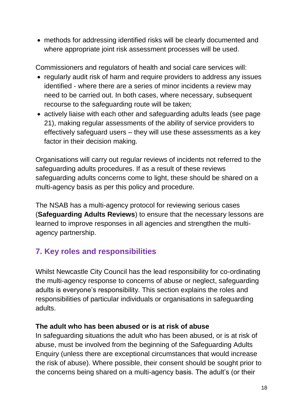methods for addressing identified risks will be clearly documented and where appropriate joint risk assessment processes will be used.

Commissioners and regulators of health and social care services will:

- regularly audit risk of harm and require providers to address any issues identified - where there are a series of minor incidents a review may need to be carried out. In both cases, where necessary, subsequent recourse to the safeguarding route will be taken;
- actively liaise with each other and safeguarding adults leads (see page 21), making regular assessments of the ability of service providers to effectively safeguard users – they will use these assessments as a key factor in their decision making.

Organisations will carry out regular reviews of incidents not referred to the safeguarding adults procedures. If as a result of these reviews safeguarding adults concerns come to light, these should be shared on a multi-agency basis as per this policy and procedure.

The NSAB has a multi-agency protocol for reviewing serious cases (**Safeguarding Adults Reviews**) to ensure that the necessary lessons are learned to improve responses in all agencies and strengthen the multiagency partnership.

# **7. Key roles and responsibilities**

Whilst Newcastle City Council has the lead responsibility for co-ordinating the multi-agency response to concerns of abuse or neglect, safeguarding adults is everyone's responsibility. This section explains the roles and responsibilities of particular individuals or organisations in safeguarding adults.

# **The adult who has been abused or is at risk of abuse**

In safeguarding situations the adult who has been abused, or is at risk of abuse, must be involved from the beginning of the Safeguarding Adults Enquiry (unless there are exceptional circumstances that would increase the risk of abuse). Where possible, their consent should be sought prior to the concerns being shared on a multi-agency basis. The adult's (or their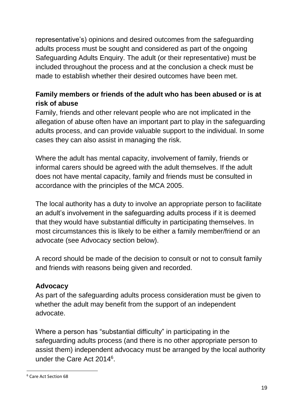representative's) opinions and desired outcomes from the safeguarding adults process must be sought and considered as part of the ongoing Safeguarding Adults Enquiry. The adult (or their representative) must be included throughout the process and at the conclusion a check must be made to establish whether their desired outcomes have been met.

# **Family members or friends of the adult who has been abused or is at risk of abuse**

Family, friends and other relevant people who are not implicated in the allegation of abuse often have an important part to play in the safeguarding adults process, and can provide valuable support to the individual. In some cases they can also assist in managing the risk.

Where the adult has mental capacity, involvement of family, friends or informal carers should be agreed with the adult themselves. If the adult does not have mental capacity, family and friends must be consulted in accordance with the principles of the MCA 2005.

The local authority has a duty to involve an appropriate person to facilitate an adult's involvement in the safeguarding adults process if it is deemed that they would have substantial difficulty in participating themselves. In most circumstances this is likely to be either a family member/friend or an advocate (see Advocacy section below).

A record should be made of the decision to consult or not to consult family and friends with reasons being given and recorded.

#### **Advocacy**

As part of the safeguarding adults process consideration must be given to whether the adult may benefit from the support of an independent advocate.

Where a person has "substantial difficulty" in participating in the safeguarding adults process (and there is no other appropriate person to assist them) independent advocacy must be arranged by the local authority under the Care Act 2014<sup>6</sup>.

**.** 

<sup>6</sup> Care Act Section 68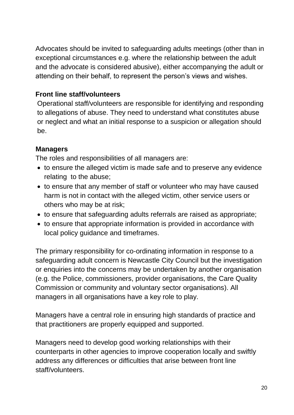Advocates should be invited to safeguarding adults meetings (other than in exceptional circumstances e.g. where the relationship between the adult and the advocate is considered abusive), either accompanying the adult or attending on their behalf, to represent the person's views and wishes.

#### **Front line staff/volunteers**

Operational staff/volunteers are responsible for identifying and responding to allegations of abuse. They need to understand what constitutes abuse or neglect and what an initial response to a suspicion or allegation should be.

#### **Managers**

The roles and responsibilities of all managers are:

- to ensure the alleged victim is made safe and to preserve any evidence relating to the abuse;
- to ensure that any member of staff or volunteer who may have caused harm is not in contact with the alleged victim, other service users or others who may be at risk;
- to ensure that safeguarding adults referrals are raised as appropriate;
- to ensure that appropriate information is provided in accordance with local policy guidance and timeframes.

The primary responsibility for co-ordinating information in response to a safeguarding adult concern is Newcastle City Council but the investigation or enquiries into the concerns may be undertaken by another organisation (e.g. the Police, commissioners, provider organisations, the Care Quality Commission or community and voluntary sector organisations). All managers in all organisations have a key role to play.

Managers have a central role in ensuring high standards of practice and that practitioners are properly equipped and supported.

Managers need to develop good working relationships with their counterparts in other agencies to improve cooperation locally and swiftly address any differences or difficulties that arise between front line staff/volunteers.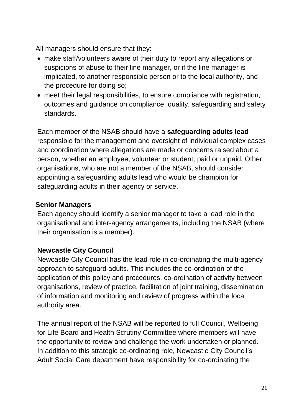All managers should ensure that they:

- make staff/volunteers aware of their duty to report any allegations or suspicions of abuse to their line manager, or if the line manager is implicated, to another responsible person or to the local authority, and the procedure for doing so;
- meet their legal responsibilities, to ensure compliance with registration, outcomes and guidance on compliance, quality, safeguarding and safety standards.

Each member of the NSAB should have a **safeguarding adults lead**  responsible for the management and oversight of individual complex cases and coordination where allegations are made or concerns raised about a person, whether an employee, volunteer or student, paid or unpaid. Other organisations, who are not a member of the NSAB, should consider appointing a safeguarding adults lead who would be champion for safeguarding adults in their agency or service.

# **Senior Managers**

Each agency should identify a senior manager to take a lead role in the organisational and inter-agency arrangements, including the NSAB (where their organisation is a member).

# **Newcastle City Council**

Newcastle City Council has the lead role in co-ordinating the multi-agency approach to safeguard adults. This includes the co-ordination of the application of this policy and procedures, co-ordination of activity between organisations, review of practice, facilitation of joint training, dissemination of information and monitoring and review of progress within the local authority area.

The annual report of the NSAB will be reported to full Council, Wellbeing for Life Board and Health Scrutiny Committee where members will have the opportunity to review and challenge the work undertaken or planned. In addition to this strategic co-ordinating role, Newcastle City Council's Adult Social Care department have responsibility for co-ordinating the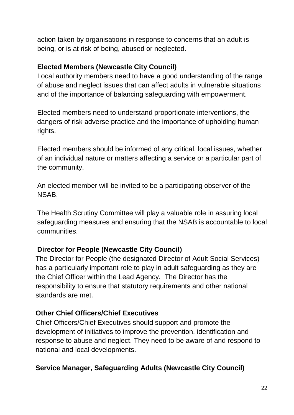action taken by organisations in response to concerns that an adult is being, or is at risk of being, abused or neglected.

# **Elected Members (Newcastle City Council)**

Local authority members need to have a good understanding of the range of abuse and neglect issues that can affect adults in vulnerable situations and of the importance of balancing safeguarding with empowerment.

Elected members need to understand proportionate interventions, the dangers of risk adverse practice and the importance of upholding human rights.

Elected members should be informed of any critical, local issues, whether of an individual nature or matters affecting a service or a particular part of the community.

An elected member will be invited to be a participating observer of the NSAB.

The Health Scrutiny Committee will play a valuable role in assuring local safeguarding measures and ensuring that the NSAB is accountable to local communities.

# **Director for People (Newcastle City Council)**

The Director for People (the designated Director of Adult Social Services) has a particularly important role to play in adult safeguarding as they are the Chief Officer within the Lead Agency. The Director has the responsibility to ensure that statutory requirements and other national standards are met.

#### **Other Chief Officers/Chief Executives**

Chief Officers/Chief Executives should support and promote the development of initiatives to improve the prevention, identification and response to abuse and neglect. They need to be aware of and respond to national and local developments.

#### **Service Manager, Safeguarding Adults (Newcastle City Council)**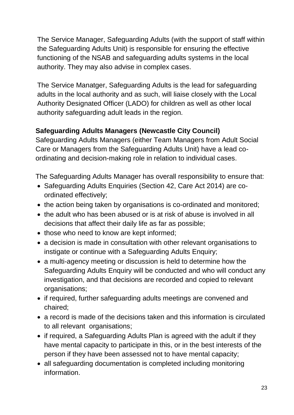The Service Manager, Safeguarding Adults (with the support of staff within the Safeguarding Adults Unit) is responsible for ensuring the effective functioning of the NSAB and safeguarding adults systems in the local authority. They may also advise in complex cases.

The Service Manatger, Safeguarding Adults is the lead for safeguarding adults in the local authority and as such, will liaise closely with the Local Authority Designated Officer (LADO) for children as well as other local authority safeguarding adult leads in the region.

# **Safeguarding Adults Managers (Newcastle City Council)**

Safeguarding Adults Managers (either Team Managers from Adult Social Care or Managers from the Safeguarding Adults Unit) have a lead coordinating and decision-making role in relation to individual cases.

The Safeguarding Adults Manager has overall responsibility to ensure that:

- Safeguarding Adults Enquiries (Section 42, Care Act 2014) are coordinated effectively;
- the action being taken by organisations is co-ordinated and monitored;
- the adult who has been abused or is at risk of abuse is involved in all decisions that affect their daily life as far as possible;
- those who need to know are kept informed;
- a decision is made in consultation with other relevant organisations to instigate or continue with a Safeguarding Adults Enquiry;
- a multi-agency meeting or discussion is held to determine how the Safeguarding Adults Enquiry will be conducted and who will conduct any investigation, and that decisions are recorded and copied to relevant organisations;
- if required, further safeguarding adults meetings are convened and chaired;
- a record is made of the decisions taken and this information is circulated to all relevant organisations;
- if required, a Safeguarding Adults Plan is agreed with the adult if they have mental capacity to participate in this, or in the best interests of the person if they have been assessed not to have mental capacity;
- all safeguarding documentation is completed including monitoring information.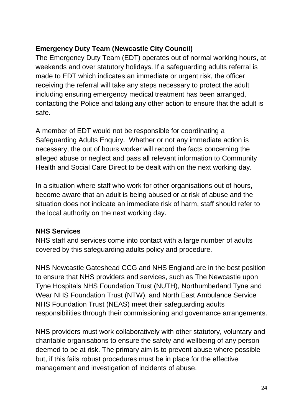# **Emergency Duty Team (Newcastle City Council)**

The Emergency Duty Team (EDT) operates out of normal working hours, at weekends and over statutory holidays. If a safeguarding adults referral is made to EDT which indicates an immediate or urgent risk, the officer receiving the referral will take any steps necessary to protect the adult including ensuring emergency medical treatment has been arranged, contacting the Police and taking any other action to ensure that the adult is safe.

A member of EDT would not be responsible for coordinating a Safeguarding Adults Enquiry. Whether or not any immediate action is necessary, the out of hours worker will record the facts concerning the alleged abuse or neglect and pass all relevant information to Community Health and Social Care Direct to be dealt with on the next working day.

In a situation where staff who work for other organisations out of hours, become aware that an adult is being abused or at risk of abuse and the situation does not indicate an immediate risk of harm, staff should refer to the local authority on the next working day.

#### **NHS Services**

NHS staff and services come into contact with a large number of adults covered by this safeguarding adults policy and procedure.

NHS Newcastle Gateshead CCG and NHS England are in the best position to ensure that NHS providers and services, such as The Newcastle upon Tyne Hospitals NHS Foundation Trust (NUTH), Northumberland Tyne and Wear NHS Foundation Trust (NTW), and North East Ambulance Service NHS Foundation Trust (NEAS) meet their safeguarding adults responsibilities through their commissioning and governance arrangements.

NHS providers must work collaboratively with other statutory, voluntary and charitable organisations to ensure the safety and wellbeing of any person deemed to be at risk. The primary aim is to prevent abuse where possible but, if this fails robust procedures must be in place for the effective management and investigation of incidents of abuse.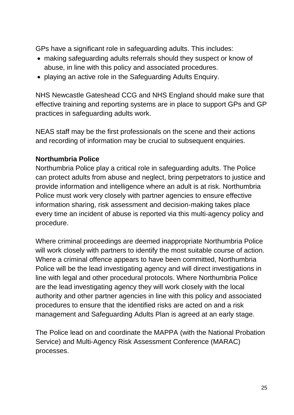GPs have a significant role in safeguarding adults. This includes:

- making safeguarding adults referrals should they suspect or know of abuse, in line with this policy and associated procedures.
- playing an active role in the Safeguarding Adults Enquiry.

NHS Newcastle Gateshead CCG and NHS England should make sure that effective training and reporting systems are in place to support GPs and GP practices in safeguarding adults work.

NEAS staff may be the first professionals on the scene and their actions and recording of information may be crucial to subsequent enquiries.

# **Northumbria Police**

Northumbria Police play a critical role in safeguarding adults. The Police can protect adults from abuse and neglect, bring perpetrators to justice and provide information and intelligence where an adult is at risk. Northumbria Police must work very closely with partner agencies to ensure effective information sharing, risk assessment and decision-making takes place every time an incident of abuse is reported via this multi-agency policy and procedure.

Where criminal proceedings are deemed inappropriate Northumbria Police will work closely with partners to identify the most suitable course of action. Where a criminal offence appears to have been committed, Northumbria Police will be the lead investigating agency and will direct investigations in line with legal and other procedural protocols. Where Northumbria Police are the lead investigating agency they will work closely with the local authority and other partner agencies in line with this policy and associated procedures to ensure that the identified risks are acted on and a risk management and Safeguarding Adults Plan is agreed at an early stage.

The Police lead on and coordinate the MAPPA (with the National Probation Service) and Multi-Agency Risk Assessment Conference (MARAC) processes.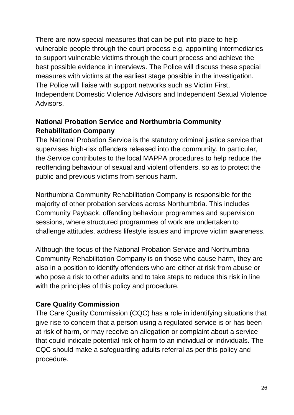There are now special measures that can be put into place to help vulnerable people through the court process e.g. appointing intermediaries to support vulnerable victims through the court process and achieve the best possible evidence in interviews. The Police will discuss these special measures with victims at the earliest stage possible in the investigation. The Police will liaise with support networks such as Victim First, Independent Domestic Violence Advisors and Independent Sexual Violence Advisors.

#### **National Probation Service and Northumbria Community Rehabilitation Company**

The National Probation Service is the statutory criminal justice service that supervises high-risk offenders released into the community. In particular, the Service contributes to the local MAPPA procedures to help reduce the reoffending behaviour of sexual and violent offenders, so as to protect the public and previous victims from serious harm.

Northumbria Community Rehabilitation Company is responsible for the majority of other probation services across Northumbria. This includes Community Payback, offending behaviour programmes and supervision sessions, where structured programmes of work are undertaken to challenge attitudes, address lifestyle issues and improve victim awareness.

Although the focus of the National Probation Service and Northumbria Community Rehabilitation Company is on those who cause harm, they are also in a position to identify offenders who are either at risk from abuse or who pose a risk to other adults and to take steps to reduce this risk in line with the principles of this policy and procedure.

# **Care Quality Commission**

The Care Quality Commission (CQC) has a role in identifying situations that give rise to concern that a person using a regulated service is or has been at risk of harm, or may receive an allegation or complaint about a service that could indicate potential risk of harm to an individual or individuals. The CQC should make a safeguarding adults referral as per this policy and procedure.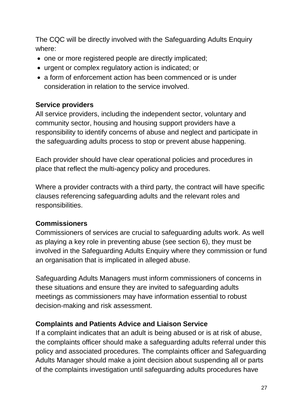The CQC will be directly involved with the Safeguarding Adults Enquiry where:

- one or more registered people are directly implicated;
- urgent or complex regulatory action is indicated; or
- a form of enforcement action has been commenced or is under consideration in relation to the service involved.

#### **Service providers**

All service providers, including the independent sector, voluntary and community sector, housing and housing support providers have a responsibility to identify concerns of abuse and neglect and participate in the safeguarding adults process to stop or prevent abuse happening.

Each provider should have clear operational policies and procedures in place that reflect the multi-agency policy and procedures.

Where a provider contracts with a third party, the contract will have specific clauses referencing safeguarding adults and the relevant roles and responsibilities.

#### **Commissioners**

Commissioners of services are crucial to safeguarding adults work. As well as playing a key role in preventing abuse (see section 6), they must be involved in the Safeguarding Adults Enquiry where they commission or fund an organisation that is implicated in alleged abuse.

Safeguarding Adults Managers must inform commissioners of concerns in these situations and ensure they are invited to safeguarding adults meetings as commissioners may have information essential to robust decision-making and risk assessment.

#### **Complaints and Patients Advice and Liaison Service**

If a complaint indicates that an adult is being abused or is at risk of abuse, the complaints officer should make a safeguarding adults referral under this policy and associated procedures. The complaints officer and Safeguarding Adults Manager should make a joint decision about suspending all or parts of the complaints investigation until safeguarding adults procedures have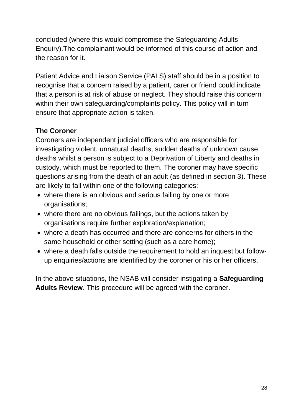concluded (where this would compromise the Safeguarding Adults Enquiry).The complainant would be informed of this course of action and the reason for it.

Patient Advice and Liaison Service (PALS) staff should be in a position to recognise that a concern raised by a patient, carer or friend could indicate that a person is at risk of abuse or neglect. They should raise this concern within their own safeguarding/complaints policy. This policy will in turn ensure that appropriate action is taken.

#### **The Coroner**

Coroners are independent judicial officers who are responsible for investigating violent, unnatural deaths, sudden deaths of unknown cause, deaths whilst a person is subject to a Deprivation of Liberty and deaths in custody, which must be reported to them. The coroner may have specific questions arising from the death of an adult (as defined in section 3). These are likely to fall within one of the following categories:

- where there is an obvious and serious failing by one or more organisations;
- where there are no obvious failings, but the actions taken by organisations require further exploration/explanation;
- where a death has occurred and there are concerns for others in the same household or other setting (such as a care home);
- where a death falls outside the requirement to hold an inquest but followup enquiries/actions are identified by the coroner or his or her officers.

In the above situations, the NSAB will consider instigating a **Safeguarding Adults Review**. This procedure will be agreed with the coroner.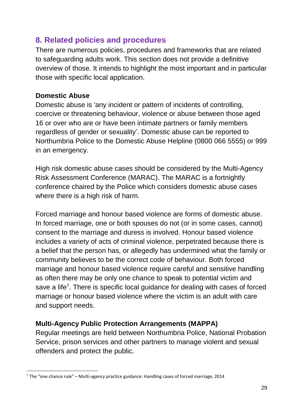# **8. Related policies and procedures**

There are numerous policies, procedures and frameworks that are related to safeguarding adults work. This section does not provide a definitive overview of those. It intends to highlight the most important and in particular those with specific local application.

#### **Domestic Abuse**

Domestic abuse is 'any incident or pattern of incidents of controlling, coercive or threatening behaviour, violence or abuse between those aged 16 or over who are or have been intimate partners or family members regardless of gender or sexuality'. Domestic abuse can be reported to Northumbria Police to the Domestic Abuse Helpline (0800 066 5555) or 999 in an emergency.

High risk domestic abuse cases should be considered by the Multi-Agency Risk Assessment Conference (MARAC). The MARAC is a fortnightly conference chaired by the Police which considers domestic abuse cases where there is a high risk of harm.

Forced marriage and honour based violence are forms of domestic abuse. In forced marriage, one or both spouses do not (or in some cases, cannot) consent to the marriage and duress is involved. Honour based violence includes a variety of acts of criminal violence, perpetrated because there is a belief that the person has, or allegedly has undermined what the family or community believes to be the correct code of behaviour. Both forced marriage and honour based violence require careful and sensitive handling as often there may be only one chance to speak to potential victim and save a life<sup>7</sup>. There is specific local guidance for dealing with cases of forced marriage or honour based violence where the victim is an adult with care and support needs.

# **Multi-Agency Public Protection Arrangements (MAPPA)**

Regular meetings are held between Northumbria Police, National Probation Service, prison services and other partners to manage violent and sexual offenders and protect the public.

**<sup>.</sup>**  $7$  The "one chance rule" – Multi-agency practice guidance: Handling cases of forced marriage, 2014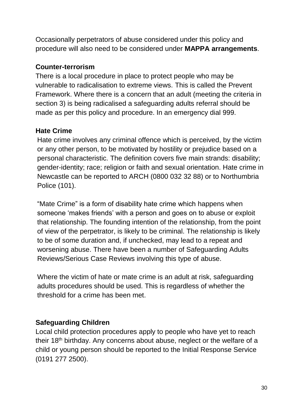Occasionally perpetrators of abuse considered under this policy and procedure will also need to be considered under **MAPPA arrangements**.

#### **Counter-terrorism**

There is a local procedure in place to protect people who may be vulnerable to radicalisation to extreme views. This is called the Prevent Framework. Where there is a concern that an adult (meeting the criteria in section 3) is being radicalised a safeguarding adults referral should be made as per this policy and procedure. In an emergency dial 999.

#### **Hate Crime**

Hate crime involves any criminal offence which is perceived, by the victim or any other person, to be motivated by hostility or prejudice based on a personal characteristic. The definition covers five main strands: disability; gender-identity; race; religion or faith and sexual orientation. Hate crime in Newcastle can be reported to ARCH (0800 032 32 88) or to Northumbria Police (101).

"Mate Crime" is a form of disability hate crime which happens when someone 'makes friends' with a person and goes on to abuse or exploit that relationship. The founding intention of the relationship, from the point of view of the perpetrator, is likely to be criminal. The relationship is likely to be of some duration and, if unchecked, may lead to a repeat and worsening abuse. There have been a number of Safeguarding Adults Reviews/Serious Case Reviews involving this type of abuse.

Where the victim of hate or mate crime is an adult at risk, safeguarding adults procedures should be used. This is regardless of whether the threshold for a crime has been met.

# **Safeguarding Children**

Local child protection procedures apply to people who have yet to reach their 18<sup>th</sup> birthday. Any concerns about abuse, neglect or the welfare of a child or young person should be reported to the Initial Response Service (0191 277 2500).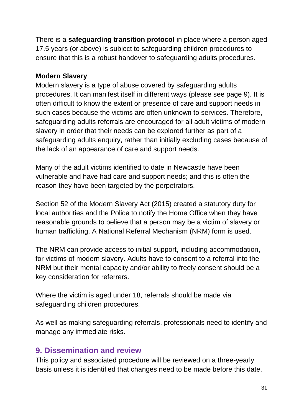There is a **safeguarding transition protocol** in place where a person aged 17.5 years (or above) is subject to safeguarding children procedures to ensure that this is a robust handover to safeguarding adults procedures.

#### **Modern Slavery**

Modern slavery is a type of abuse covered by safeguarding adults procedures. It can manifest itself in different ways (please see page 9). It is often difficult to know the extent or presence of care and support needs in such cases because the victims are often unknown to services. Therefore, safeguarding adults referrals are encouraged for all adult victims of modern slavery in order that their needs can be explored further as part of a safeguarding adults enquiry, rather than initially excluding cases because of the lack of an appearance of care and support needs.

Many of the adult victims identified to date in Newcastle have been vulnerable and have had care and support needs; and this is often the reason they have been targeted by the perpetrators.

Section 52 of the Modern Slavery Act (2015) created a statutory duty for local authorities and the Police to notify the Home Office when they have reasonable grounds to believe that a person may be a victim of slavery or human trafficking. A National Referral Mechanism (NRM) form is used.

The NRM can provide access to initial support, including accommodation, for victims of modern slavery. Adults have to consent to a referral into the NRM but their mental capacity and/or ability to freely consent should be a key consideration for referrers.

Where the victim is aged under 18, referrals should be made via safeguarding children procedures.

As well as making safeguarding referrals, professionals need to identify and manage any immediate risks.

# **9. Dissemination and review**

This policy and associated procedure will be reviewed on a three-yearly basis unless it is identified that changes need to be made before this date.